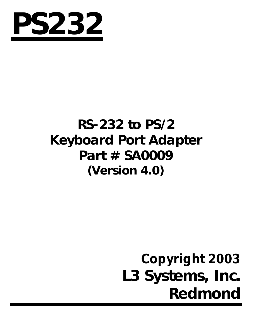

# **RS-232 to PS/2 Keyboard Port Adapter Part # SA0009 (Version 4.0)**

# *Copyright 2003* **L3 Systems, Inc. Redmond**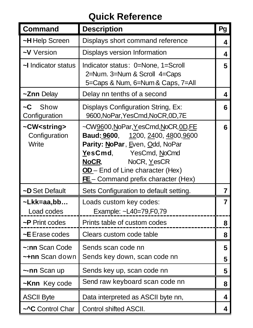#### **Quick Reference**

| Command                                           | <b>Description</b>                                                                                                                                                                                                                           | Pg             |
|---------------------------------------------------|----------------------------------------------------------------------------------------------------------------------------------------------------------------------------------------------------------------------------------------------|----------------|
| ~H Help Screen                                    | Displays short command reference                                                                                                                                                                                                             | 4              |
| ~V Version                                        | Displays version Information                                                                                                                                                                                                                 | 4              |
| ~I Indicator status                               | Indicator status: 0=None, 1=Scroll<br>2=Num. 3=Num & Scroll 4=Caps<br>5=Caps & Num, 6=Num & Caps, 7=All                                                                                                                                      | 5              |
| ~Znn Delay                                        | Delay nn tenths of a second                                                                                                                                                                                                                  | 4              |
| ~C<br>Show<br>Configuration                       | Displays Configuration String, Ex:<br>9600, NoPar, YesCmd, NoCR, 0D, 7E                                                                                                                                                                      | 6              |
| ~CW <string><br/>Configuration<br/>Write</string> | ~CW9600, NoPar, YesCmd, NoCR, 0D, FE<br>Baud: 9600, 1200, 2400, 4800, 9600<br>Parity: NoPar, Even, Odd, NoPar<br>YesCmd,<br>YesCmd, NoCmd<br>NoCR.<br>NoCR, YesCR<br>OD-End of Line character (Hex)<br>$FE$ – Command prefix character (Hex) | 6              |
| ~D Set Default                                    | Sets Configuration to default setting.                                                                                                                                                                                                       | $\overline{7}$ |
| ~Lkk=aa,bb<br>Load codes                          | Loads custom key codes:<br>Example: ~L40=79,F0,79                                                                                                                                                                                            | $\overline{7}$ |
| ~P Print codes                                    | Prints table of custom codes                                                                                                                                                                                                                 | 8              |
| ~E Erase codes                                    | Clears custom code table                                                                                                                                                                                                                     | 8              |
| ~:nn Scan Code<br>~+nn Scan down                  | Sends scan code nn<br>Sends key down, scan code nn                                                                                                                                                                                           | 5<br>5         |
| ~-nn Scan up                                      | Sends key up, scan code nn                                                                                                                                                                                                                   | 5              |
| ~Knn Key code                                     | Send raw keyboard scan code nn                                                                                                                                                                                                               | 8              |
| <b>ASCII Byte</b>                                 | Data interpreted as ASCII byte nn,                                                                                                                                                                                                           | 4              |
| ~^C Control Char                                  | Control shifted ASCII.                                                                                                                                                                                                                       | 4              |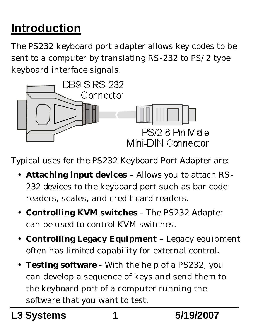# **Introduction**

The PS232 keyboard port adapter allows key codes to be sent to a computer by translating RS-232 to PS/2 type keyboard interface signals.



Typical uses for the PS232 Keyboard Port Adapter are:

- **Attaching input devices** Allows you to attach RS-232 devices to the keyboard port such as bar code readers, scales, and credit card readers.
- **Controlling KVM switches**  The PS232 Adapter can be used to control KVM switches.
- **Controlling Legacy Equipment**  Legacy equipment often has limited capability for external control**.**
- **Testing software** With the help of a PS232, you can develop a sequence of keys and send them to the keyboard port of a computer running the software that you want to test.

**L3 Systems 1 5/19/2007**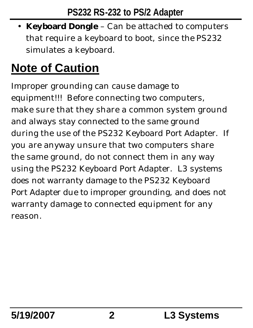• **Keyboard Dongle** – Can be attached to computers that require a keyboard to boot, since the PS232 simulates a keyboard.

# **Note of Caution**

Improper grounding can cause damage to equipment!!! Before connecting two computers, make sure that they share a common system ground and always stay connected to the same ground during the use of the PS232 Keyboard Port Adapter. If you are anyway unsure that two computers share the same ground, do not connect them in any way using the PS232 Keyboard Port Adapter. L3 systems does not warranty damage to the PS232 Keyboard Port Adapter due to improper grounding, and does not warranty damage to connected equipment for any reason.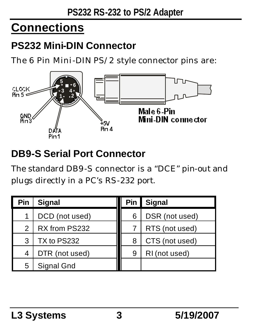# **Connections**

### **PS232 Mini-DIN Connector**

The 6 Pin Mini-DIN PS/2 style connector pins are:



### **DB9-S Serial Port Connector**

The standard DB9-S connector is a "DCE" pin-out and plugs directly in a PC's RS-232 port.

| Pin | <b>Signal</b>  | Pin | <b>Signal</b>  |
|-----|----------------|-----|----------------|
| 1   | DCD (not used) | 6   | DSR (not used) |
| 2   | RX from PS232  |     | RTS (not used) |
| 3   | TX to PS232    | 8   | CTS (not used) |
| 4   | DTR (not used) | 9   | RI (not used)  |
| 5   | Signal Gnd     |     |                |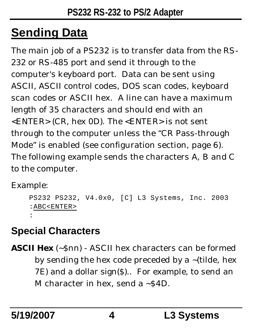# **Sending Data**

The main job of a PS232 is to transfer data from the RS-232 or RS-485 port and send it through to the computer's keyboard port. Data can be sent using ASCII, ASCII control codes, DOS scan codes, keyboard scan codes or ASCII hex. A line can have a maximum length of 35 characters and should end with an <ENTER> (CR, hex 0D). The <ENTER> is not sent through to the computer unless the "CR Pass-through Mode" is enabled (see configuration section, page 6). The following example sends the characters A, B and C to the computer.

Example:

```
PS232 PS232, V4.0x0, [C] L3 Systems, Inc. 2003
:ABC<ENTER>
:
```
# **Special Characters**

**ASCII Hex** (~\$nn) - ASCII hex characters can be formed by sending the hex code preceded by a ~(tilde, hex 7E) and a dollar sign(\$).. For example, to send an M character in hex, send a  $\sim$  \$4D.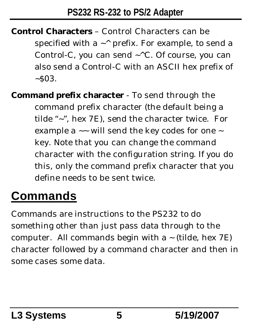- **Control Characters** Control Characters can be specified with a  $\sim$  prefix. For example, to send a Control-C, you can send  $\sim$  ^C. Of course, you can also send a Control-C with an ASCII hex prefix of  $~503.$
- **Command prefix character** To send through the command prefix character (the default being a tilde "~", hex 7E), send the character twice. For example a  $\sim$  will send the key codes for one  $\sim$ key. Note that you can change the command character with the configuration string. If you do this, only the command prefix character that you define needs to be sent twice.

# **Commands**

Commands are instructions to the PS232 to do something other than just pass data through to the computer. All commands begin with a  $\sim$  (tilde, hex 7E) character followed by a command character and then in some cases some data.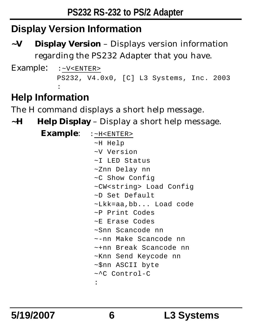## **Display Version Information**

**~V Display Version** – Displays version information regarding the PS232 Adapter that you have.

```
Example: :~V<ENTER>
           PS232, V4.0x0, [C] L3 Systems, Inc. 2003
         :
```
## **Help Information**

The H command displays a short help message.

**~H Help Display** – Display a short help message.

| <b>Example:</b> $: z$ -H <enter></enter> |  |  |  |  |  |
|------------------------------------------|--|--|--|--|--|
| ~H Help                                  |  |  |  |  |  |
| ~V Version                               |  |  |  |  |  |
| ~I LED Status                            |  |  |  |  |  |
| ~Znn Delay nn                            |  |  |  |  |  |
| ~C Show Config                           |  |  |  |  |  |
| ~CW <string> Load Config</string>        |  |  |  |  |  |
| ~D Set Default                           |  |  |  |  |  |
| ~Lkk=aa,bb Load code                     |  |  |  |  |  |
| ~P Print Codes                           |  |  |  |  |  |
| ~E Erase Codes                           |  |  |  |  |  |
| ~Snn Scancode nn                         |  |  |  |  |  |
| ~-nn Make Scancode nn                    |  |  |  |  |  |
| ~+nn Break Scancode nn                   |  |  |  |  |  |
| ~Knn Send Keycode nn                     |  |  |  |  |  |
| ~\$nn ASCII byte                         |  |  |  |  |  |
| ~^C Control-C                            |  |  |  |  |  |
| $\ddot{\phantom{a}}$                     |  |  |  |  |  |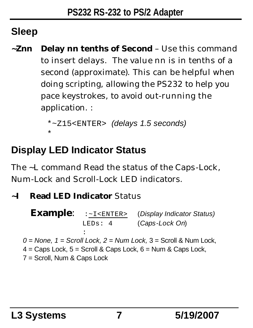## **Sleep**

**~Znn Delay nn tenths of Second** – Use this command to insert delays. The value nn is in tenths of a second (approximate). This can be helpful when doing scripting, allowing the PS232 to help you pace keystrokes, to avoid out-running the application. :

```
*~Z15<ENTER> (delays 1.5 seconds)
*
```
## **Display LED Indicator Status**

The ~L command Read the status of the Caps-Lock, Num-Lock and Scroll-Lock LED indicators.

#### **~I Read LED Indicator** Status

**Example**: :~I<ENTER> (*Display Indicator Status)* LEDs: 4 (*Caps-Lock On*)

: *0 = None, 1 = Scroll Lock, 2 = Num Lock,* 3 = Scroll & Num Lock,  $4 = \text{Caps}$  Lock,  $5 = \text{Scroll}$  & Caps Lock,  $6 = \text{Num}$  & Caps Lock, 7 = Scroll, Num & Caps Lock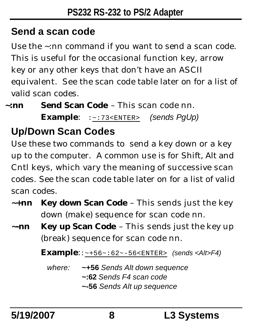## **Send a scan code**

Use the ~:nn command if you want to send a scan code. This is useful for the occasional function key, arrow key or any other keys that don't have an ASCII equivalent. See the scan code table later on for a list of valid scan codes.

**~:nn Send Scan Code** – This scan code nn. **Example**: :~:73<ENTER> *(sends PgUp)*

# **Up/Down Scan Codes**

Use these two commands to send a key down or a key up to the computer. A common use is for Shift, Alt and Cntl keys, which vary the meaning of successive scan codes. See the scan code table later on for a list of valid scan codes.

- **~+nn Key down Scan Code** This sends just the key down (make) sequence for scan code nn.
- **~-nn Key up Scan Code** This sends just the key up (break) sequence for scan code nn.

**Example**::~+56~:62~-56<ENTER> *(sends <Alt>F4)*

*where:* **~+56** *Sends Alt down sequence* **~:62** *Sends F4 scan code* **~-56** *Sends Alt up sequence*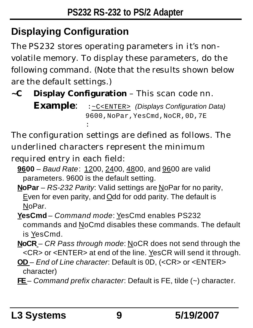# **Displaying Configuration**

The PS232 stores operating parameters in it's nonvolatile memory. To display these parameters, do the following command. (Note that the results shown below are the default settings.)

**~C Display Configuration** – This scan code nn.

**Example**: :~C<ENTER> *(Displays Configuration Data)* 9600,NoPar,YesCmd,NoCR,0D,7E :

The configuration settings are defined as follows. The underlined characters represent the minimum required entry in each field:

- **9600** *Baud Rate*: 1200, 2400, 4800, and 9600 are valid parameters. 9600 is the default setting.
- **NoPar** *RS-232 Parity*: Valid settings are NoPar for no parity, Even for even parity, and Odd for odd parity. The default is NoPar.
- **YesCmd** *Command mode*: YesCmd enables PS232 commands and NoCmd disables these commands. The default is YesCmd.
- **NoCR** *CR Pass through mode*: NoCR does not send through the <CR> or <ENTER> at end of the line. YesCR will send it through.
- **OD**  *End of Line character*: Default is 0D, (<CR> or <ENTER> character)
- **FE**  *Command prefix character*: Default is FE, tilde (~) character.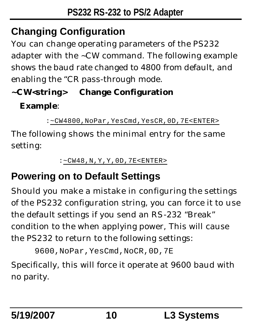# **Changing Configuration**

You can change operating parameters of the PS232 adapter with the ~CW command. The following example shows the baud rate changed to 4800 from default, and enabling the "CR pass-through mode.

### **~CW<***string***> Change Configuration**

#### **Example**:

```
:~CW4800,NoPar,YesCmd,YesCR,0D,7E<ENTER>
```
The following shows the minimal entry for the same setting:

```
:~CW48,N,Y,Y,0D,7E<ENTER>
```
# **Powering on to Default Settings**

Should you make a mistake in configuring the settings of the PS232 configuration string, you can force it to use the default settings if you send an RS-232 "Break" condition to the when applying power, This will cause the PS232 to return to the following settings:

```
9600,NoPar,YesCmd,NoCR,0D,7E
```
Specifically, this will force it operate at 9600 baud with no parity.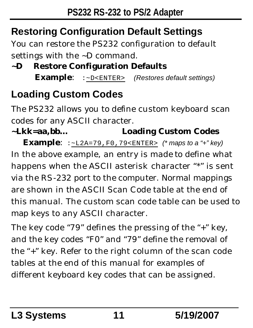# **Restoring Configuration Default Settings**

You can restore the PS232 configuration to default settings with the ~D command.

#### **~D Restore Configuration Defaults Example**: :~D<ENTER> *(Restores default settings)*

# **Loading Custom Codes**

The PS232 allows you to define custom keyboard scan codes for any ASCII character.

## **~Lkk=aa,bb… Loading Custom Codes**

**Example**: :~L2A=79,F0,79<ENTER> *(\* maps to a "+" key)* In the above example, an entry is made to define what happens when the ASCII asterisk character "\*" is sent via the RS-232 port to the computer. Normal mappings are shown in the ASCII Scan Code table at the end of this manual. The custom scan code table can be used to map keys to any ASCII character.

The key code "79" defines the pressing of the "+" key, and the key codes "F0" and "79" define the removal of the "+" key. Refer to the right column of the scan code tables at the end of this manual for examples of different keyboard key codes that can be assigned.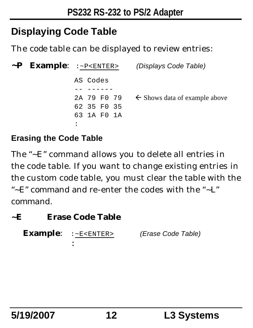## **Displaying Code Table**

The code table can be displayed to review entries:

|  | $\sim$ P Example: : $\sim$ P < ENTER > | (Displays Code Table)                                |
|--|----------------------------------------|------------------------------------------------------|
|  | AS Codes                               |                                                      |
|  |                                        |                                                      |
|  |                                        | 2A 79 F0 79 $\leftarrow$ Shows data of example above |
|  | 62 35 FO 35                            |                                                      |
|  | 63 1A FO 1A                            |                                                      |
|  |                                        |                                                      |

#### **Erasing the Code Table**

The "~E" command allows you to delete all entries in the code table. If you want to change existing entries in the custom code table, you must clear the table with the "~E" command and re-enter the codes with the "~L" command.

#### **~E Erase Code Table**

```
Example: :~E<ENTER> (Erase Code Table)
          :
```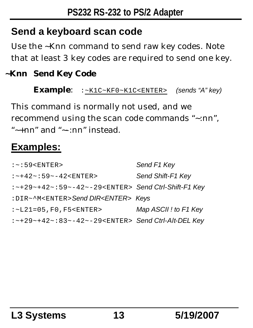### **Send a keyboard scan code**

Use the ~Knn command to send raw key codes. Note that at least 3 key codes are required to send one key.

#### **~Knn Send Key Code**

**Example**: :~K1C~KF0~K1C<ENTER> *(sends "A" key)*

This command is normally not used, and we recommend using the scan code commands "~:nn", "~+nn" and "~-:nn" instead.

### **Examples:**

| $:-:59<$ ENTER>                                                     | Send F1 Key           |
|---------------------------------------------------------------------|-----------------------|
| $:-+42-.59--42<$ ENTER>                                             | Send Shift-F1 Key     |
| $:$ -+29 -+42 - $:$ 59 - -42 - -29 < ENTER > Send Ctrl-Shift-F1 Key |                       |
| : DIR~^M <enter>Send DIR<enter>Keys</enter></enter>                 |                       |
| $:$ ~ $L21 = 05$ , F0, F5 < ENTER >                                 | Map ASCII ! to F1 Key |
| : ~+29~+42~: 83~-42~-29 <enter> Send Ctrl-Alt-DEL Key</enter>       |                       |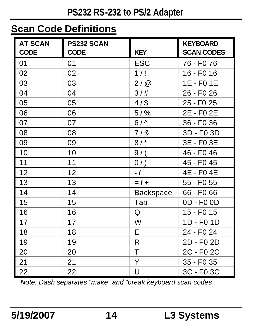### **Scan Code Definitions**

| <b>AT SCAN</b><br><b>CODE</b> | <b>PS232 SCAN</b><br><b>CODE</b> | <b>KEY</b>       | <b>KEYBOARD</b><br><b>SCAN CODES</b> |
|-------------------------------|----------------------------------|------------------|--------------------------------------|
| 01                            | 01                               | ESC              | 76 - F0 76                           |
| 02                            | 02                               | 1/!              | 16 - F0 16                           |
| 03                            | 03                               | 2/@              | 1E - F0 1E                           |
| 04                            | 04                               | 3/#              | 26 - F0 26                           |
| 05                            | 05                               | $4/$ \$          | 25 - F <sub>0</sub> 25               |
| 06                            | 06                               | $5/$ %           | 2E - F0 2E                           |
| 07                            | 07                               | $6/^$            | 36 - F0 36                           |
| 08                            | 08                               | 7/8              | 3D - F0 3D                           |
| 09                            | 09                               | 8/               | 3E - F0 3E                           |
| 10                            | 10                               | $9/$ (           | 46 - F0 46                           |
| 11                            | 11                               | 0/               | 45 - F0 45                           |
| 12                            | 12                               | -1_              | 4E - F04E                            |
| 13                            | 13                               | $= 1 +$          | 55 - F0 55                           |
| 14                            | 14                               | <b>Backspace</b> | 66 - F0 66                           |
| 15                            | 15                               | Tab              | 0D - F0 0D                           |
| 16                            | 16                               | Q                | 15 - F0 15                           |
| 17                            | 17                               | W                | 1D - F0 1D                           |
| 18                            | 18                               | E                | 24 - F0 24                           |
| 19                            | 19                               | R                | 2D - F0 2D                           |
| 20                            | 20                               | T                | 2C - F0 2C                           |
| 21                            | 21                               | Υ                | 35 - F0 35                           |
| 22                            | 22                               | U                | 3C - F0 3C                           |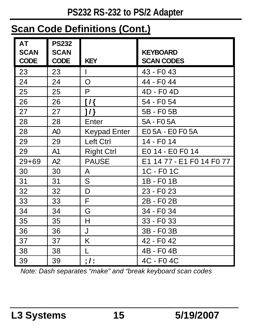### **Scan Code Definitions (Cont.)**

| <b>AT</b><br><b>SCAN</b><br><b>CODE</b> | <b>PS232</b><br><b>SCAN</b><br><b>CODE</b> | <b>KEY</b>          | <b>KEYBOARD</b><br><b>SCAN CODES</b> |
|-----------------------------------------|--------------------------------------------|---------------------|--------------------------------------|
| 23                                      | 23                                         | I                   | 43 - F <sub>0</sub> 43               |
| 24                                      | 24                                         | O                   | 44 - F0 44                           |
| 25                                      | 25                                         | P                   | 4D - F0 4D                           |
| 26                                      | 26                                         | $\overline{1}$      | 54 - F <sub>0</sub> 54               |
| 27                                      | 27                                         | $1$ /}              | 5B - F0 5B                           |
| 28                                      | 28                                         | Enter               | 5A - F0 5A                           |
| 28                                      | A0                                         | <b>Keypad Enter</b> | E05A - E0 F05A                       |
| 29                                      | 29                                         | Left Ctrl           | 14 - F0 14                           |
| 29                                      | A1                                         | <b>Right Ctrl</b>   | E0 14 - E0 F0 14                     |
| $29 + 69$                               | A2                                         | <b>PAUSE</b>        | E1 14 77 - E1 F0 14 F0 77            |
| 30                                      | 30                                         | A                   | 1C - F0 1C                           |
| 31                                      | 31                                         | S                   | 1B - F0 1B                           |
| 32                                      | 32                                         | D                   | 23 - F <sub>0</sub> 23               |
| 33                                      | 33                                         | F                   | 2B-F02B                              |
| 34                                      | 34                                         | G                   | 34 - F <sub>0</sub> 34               |
| 35                                      | 35                                         | H                   | 33 - F0 33                           |
| 36                                      | 36                                         | J                   | 3B - F0 3B                           |
| 37                                      | 37                                         | K                   | 42 - F <sub>0</sub> 42               |
| 38                                      | 38                                         | L                   | 4B - F04B                            |
| 39                                      | 39                                         | ; I:                | 4C - F0 4C                           |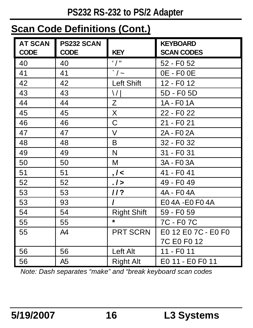### **Scan Code Definitions (Cont.)**

| <b>AT SCAN</b> | <b>PS232 SCAN</b> |                           | <b>KEYBOARD</b>        |
|----------------|-------------------|---------------------------|------------------------|
| <b>CODE</b>    | <b>CODE</b>       | <b>KEY</b>                | <b>SCAN CODES</b>      |
| 40             | 40                | $^{\prime}$ / $^{\prime}$ | 52 - F0 52             |
| 41             | 41                | $\cdot$ / $\sim$          | 0E - F0 0E             |
| 42             | 42                | Left Shift                | 12 - F0 12             |
| 43             | 43                | ١/١                       | 5D - F0 5D             |
| 44             | 44                | Ζ                         | 1A - F0 1A             |
| 45             | 45                | X                         | 22 - F <sub>0</sub> 22 |
| 46             | 46                | C                         | 21 - F <sub>0</sub> 21 |
| 47             | 47                | V                         | 2A - F0 2A             |
| 48             | 48                | B                         | 32 - F <sub>0</sub> 32 |
| 49             | 49                | N                         | 31 - F0 31             |
| 50             | 50                | м                         | 3A - F0 3A             |
| 51             | 51                | , I <                     | 41 - F0 41             |
| 52             | 52                | .1>                       | 49 - F <sub>0</sub> 49 |
| 53             | 53                | //?                       | 4A - F04A              |
| 53             | 93                | ı                         | E04A-E0F04A            |
| 54             | 54                | <b>Right Shift</b>        | 59 - F0 59             |
| 55             | 55                | $\star$                   | 7C - F0 7C             |
| 55             | A4                | <b>PRT SCRN</b>           | E0 12 E0 7C - E0 F0    |
|                |                   |                           | 7C E0 F0 12            |
| 56             | 56                | Left Alt                  | 11 - F0 11             |
| 56             | A5                | Right Alt                 | E0 11 - E0 F0 11       |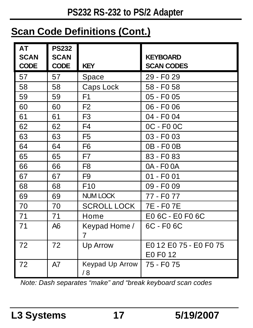### **Scan Code Definitions (Cont.)**

| AT<br><b>SCAN</b><br><b>CODE</b> | <b>PS232</b><br><b>SCAN</b><br><b>CODE</b> | <b>KEY</b>            | <b>KEYBOARD</b><br><b>SCAN CODES</b> |
|----------------------------------|--------------------------------------------|-----------------------|--------------------------------------|
| 57                               | 57                                         | Space                 | 29 - F <sub>0</sub> 29               |
| 58                               | 58                                         | Caps Lock             | 58 - F0 58                           |
| 59                               | 59                                         | F <sub>1</sub>        | 05 - F0 05                           |
| 60                               | 60                                         | F <sub>2</sub>        | 06 - F0 06                           |
| 61                               | 61                                         | F <sub>3</sub>        | 04 - F0 04                           |
| 62                               | 62                                         | F4                    | 0C - F0 0C                           |
| 63                               | 63                                         | F <sub>5</sub>        | 03 - F0 03                           |
| 64                               | 64                                         | F <sub>6</sub>        | 0B-F00B                              |
| 65                               | 65                                         | F7                    | 83 - F <sub>0</sub> 83               |
| 66                               | 66                                         | F8                    | 0A - F0 0A                           |
| 67                               | 67                                         | F9                    | 01 - F0 01                           |
| 68                               | 68                                         | F <sub>10</sub>       | 09 - F <sub>0</sub> 09               |
| 69                               | 69                                         | <b>NUM LOCK</b>       | 77 - F0 77                           |
| 70                               | 70                                         | <b>SCROLL LOCK</b>    | 7E - F0 7E                           |
| 71                               | 71                                         | Home                  | E0 6C - E0 F0 6C                     |
| 71                               | A6                                         | Keypad Home /<br>7    | 6C - F0 6C                           |
| 72                               | 72                                         | Up Arrow              | E0 12 E0 75 - E0 F0 75<br>E0 F0 12   |
| 72                               | A7                                         | Keypad Up Arrow<br>/8 | 75 - F0 75                           |

 *Note: Dash separates "make" and "break keyboard scan codes*

**L3 Systems 17 5/19/2007**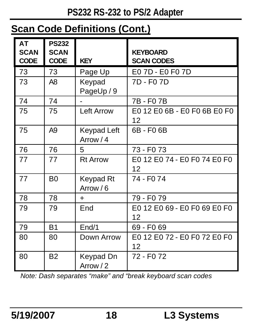### **Scan Code Definitions (Cont.)**

| l AT<br><b>SCAN</b><br><b>CODE</b> | <b>PS232</b><br><b>SCAN</b><br><b>CODE</b> | <b>KEY</b>               | <b>KEYBOARD</b><br><b>SCAN CODES</b> |
|------------------------------------|--------------------------------------------|--------------------------|--------------------------------------|
| 73                                 | 73                                         | Page Up                  | E0 7D - E0 F0 7D                     |
| 73                                 | A8                                         | Keypad<br>PageUp / 9     | 7D - F0 7D                           |
| 74                                 | 74                                         |                          | 7B-F07B                              |
| 75                                 | 75                                         | <b>Left Arrow</b>        | E0 12 E0 6B - E0 F0 6B E0 F0<br>12   |
| 75                                 | A <sub>9</sub>                             | Keypad Left<br>Arrow / 4 | 6B-F06B                              |
| 76                                 | 76                                         | 5                        | 73 - F0 73                           |
| 77                                 | 77                                         | <b>Rt Arrow</b>          | E0 12 E0 74 - E0 F0 74 E0 F0<br>12   |
| 77                                 | B <sub>0</sub>                             | Keypad Rt<br>Arrow / 6   | 74 - F <sub>0</sub> 74               |
| 78                                 | 78                                         | $\ddot{}$                | 79 - F0 79                           |
| 79                                 | 79                                         | End                      | E0 12 E0 69 - E0 F0 69 E0 F0<br>12   |
| 79                                 | <b>B1</b>                                  | End/1                    | 69 - F0 69                           |
| 80                                 | 80                                         | Down Arrow               | E0 12 E0 72 - E0 F0 72 E0 F0<br>12   |
| 80                                 | B <sub>2</sub>                             | Keypad Dn<br>Arrow / 2   | 72 - F0 72                           |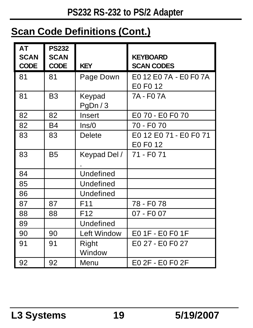### **Scan Code Definitions (Cont.)**

| <b>AT</b><br><b>SCAN</b><br><b>CODE</b> | <b>PS232</b><br><b>SCAN</b><br><b>CODE</b> | <b>KEY</b>       | <b>KEYBOARD</b><br><b>SCAN CODES</b> |
|-----------------------------------------|--------------------------------------------|------------------|--------------------------------------|
| 81                                      | 81                                         | Page Down        | E012 E07A - E0 F07A<br>E0 F0 12      |
| 81                                      | B <sub>3</sub>                             | Keypad<br>PgDn/3 | 7A - F0 7A                           |
| 82                                      | 82                                         | Insert           | E0 70 - E0 F0 70                     |
| 82                                      | <b>B4</b>                                  | Ins/0            | 70 - F0 70                           |
| 83                                      | 83                                         | Delete           | E0 12 E0 71 - E0 F0 71<br>E0 F0 12   |
| 83                                      | B <sub>5</sub>                             | Keypad Del /     | 71 - F0 71                           |
| 84                                      |                                            | Undefined        |                                      |
| 85                                      |                                            | Undefined        |                                      |
| 86                                      |                                            | Undefined        |                                      |
| 87                                      | 87                                         | F <sub>11</sub>  | 78 - F0 78                           |
| 88                                      | 88                                         | F <sub>12</sub>  | 07 - F0 07                           |
| 89                                      |                                            | Undefined        |                                      |
| 90                                      | 90                                         | Left Window      | E0 1F - E0 F0 1F                     |
| 91                                      | 91                                         | Right<br>Window  | E0 27 - E0 F0 27                     |
| 92                                      | 92                                         | Menu             | E0 2F - E0 F0 2F                     |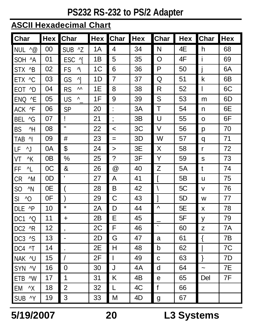#### **ASCII Hexadecimal Chart**

| <b>Char</b>                      | <b>Hex</b> | Char            | Hex | Char                     | <b>Hex</b> | Char         | Hex | Char       | Hex |
|----------------------------------|------------|-----------------|-----|--------------------------|------------|--------------|-----|------------|-----|
| <b>NUL</b><br>$^{\wedge}$ @      | 00         | SUB ^Z          | 1A  | 4                        | 34         | N            | 4E  | h          | 68  |
| $^{\wedge}$ A<br>SOH             | 01         | 시<br><b>ESC</b> | 1Β  | 5                        | 35         | O            | 4F  | Ĺ          | 69  |
| $^{\wedge}B$<br><b>STX</b>       | 02         | FS<br>N         | 1C  | 6                        | 36         | P            | 50  | İ          | 6A  |
| $^{\wedge}C$<br><b>ETX</b>       | 03         | $\wedge$<br>GS  | 1D  | $\overline{7}$           | 37         | Q            | 51  | k          | 6В  |
| $^{\wedge}$ D<br>EOT             | 04         | ۸۸<br><b>RS</b> | 1Е  | 8                        | 38         | R            | 52  | L          | 6C  |
| ^E<br><b>ENQ</b>                 | 05         | US<br>Λ.        | 1F  | 9                        | 39         | S            | 53  | m          | 6D  |
| ACK ^F                           | 06         | SP              | 20  | $\ddot{\phantom{0}}$     | 3A         | T            | 54  | n          | 6E  |
| $\sqrt{G}$<br>BFL                | 07         | Ţ               | 21  | $\cdot$<br>,             | 3B         | U            | 55  | o          | 6F  |
| $^{\wedge}$ H<br><b>BS</b>       | 08         | H               | 22  | $\,<$                    | 3C         | V            | 56  | p          | 70  |
| $^{\wedge}$<br>TAB               | 09         | #               | 23  | $=$                      | 3D         | W            | 57  | q          | 71  |
| $^{\wedge}$<br>LF                | 0A         | \$              | 24  | $\geq$                   | 3E         | X            | 58  | r          | 72  |
| VT<br>K                          | 0B         | %               | 25  | $\overline{\phantom{a}}$ | 3F         | Y            | 59  | s          | 73  |
| ^L<br>FF                         | 0C         | &               | 26  | $^{\circledR}$           | 40         | Z            | 5A  | t          | 74  |
| $^{\wedge}$ M<br>CR              | 0D         | t.              | 27  | A                        | 41         | ſ            | 5B  | u          | 75  |
| $^{\wedge}$ N<br>SO              | 0E         | (               | 28  | B                        | 42         | $\setminus$  | 5C  | v          | 76  |
| SI.<br>$^{\wedge}$ O             | 0F         | )               | 29  | С                        | 43         | 1            | 5D  | W          | 77  |
| $^{\wedge}P$<br>DLE              | 10         | $\star$         | 2A  | D                        | 44         | Λ            | 5E  | x          | 78  |
| $^{\wedge}$ O<br>DC1             | 11         | $\ddot{}$       | 2B  | Е                        | 45         |              | 5F  | У          | 79  |
| DC <sub>2</sub><br>$^{\wedge}R$  | 12         | ,               | 2C  | F                        | 46         | $\cdot$      | 60  | z          | 7A  |
| $^{\wedge}$ S<br>DC <sub>3</sub> | 13         | $\overline{a}$  | 2D  | G                        | 47         | a            | 61  | ₹          | 7B  |
| $\mathsf{A}$<br>DC4              | 14         |                 | 2E  | н                        | 48         | b            | 62  |            | 7C  |
| $^{\wedge}$ U<br><b>NAK</b>      | 15         | $\overline{1}$  | 2F  | L                        | 49         | C            | 63  | }          | 7D  |
| $\sim$<br><b>SYN</b>             | 16         | 0               | 30  | J                        | 4A         | d            | 64  | $\ddot{ }$ | 7E  |
| ETB<br>$^{\wedge}$ W             | 17         | 1               | 31  | Κ                        | 4B         | е            | 65  | Del        | 7F  |
| EM<br>^Χ                         | 18         | 2               | 32  | L                        | 4C         | $\mathbf{f}$ | 66  |            |     |
| $\wedge$ Y<br><b>SUB</b>         | 19         | 3               | 33  | М                        | 4D         | g            | 67  |            |     |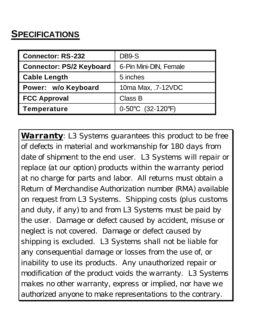#### **SPECIFICATIONS**

| <b>Connector: RS-232</b>        | DB9-S                                 |  |
|---------------------------------|---------------------------------------|--|
| <b>Connector: PS/2 Keyboard</b> | 6-Pin Mini-DIN, Female                |  |
| <b>Cable Length</b>             | 5 inches                              |  |
| Power: w/o Keyboard             | 10ma Max, .7-12VDC                    |  |
| <b>FCC Approval</b>             | Class B                               |  |
| Temperature                     | 0-50 $\degree$ C (32-120 $\degree$ F) |  |

*Warranty: L3 Systems guarantees this product to be free of defects in material and workmanship for 180 days from date of shipment to the end user. L3 Systems will repair or replace (at our option) products within the warranty period at no charge for parts and labor. All returns must obtain a Return of Merchandise Authorization number (RMA) available on request from L3 Systems. Shipping costs (plus customs and duty, if any) to and from L3 Systems must be paid by the user. Damage or defect caused by accident, misuse or neglect is not covered. Damage or defect caused by shipping is excluded. L3 Systems shall not be liable for any consequential damage or losses from the use of, or inability to use its products. Any unauthorized repair or modification of the product voids the warranty. L3 Systems makes no other warranty, express or implied, nor have we authorized anyone to make representations to the contrary.*